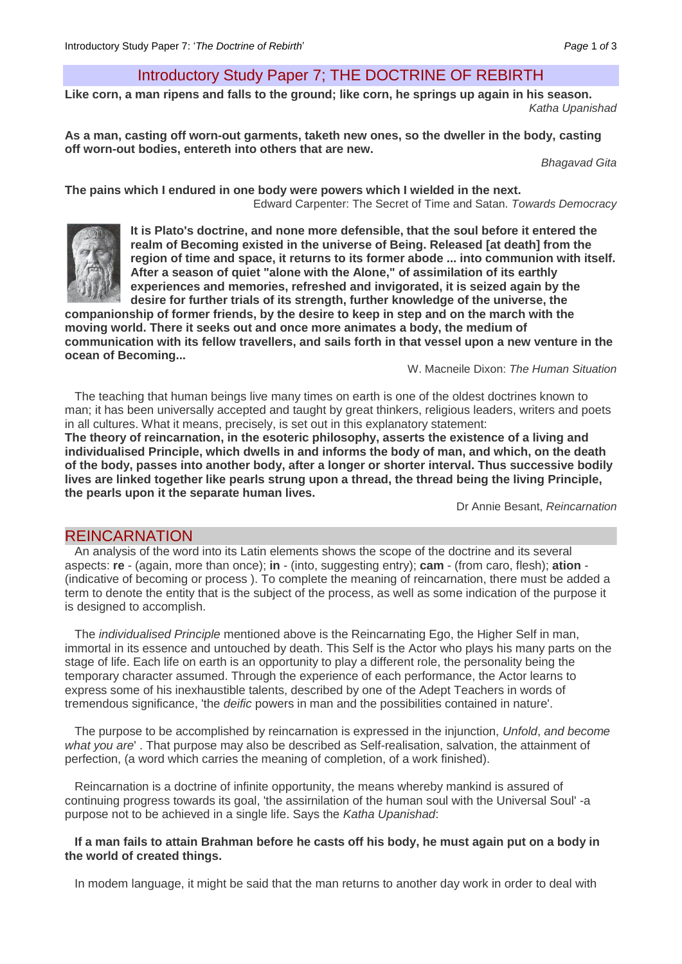# Introductory Study Paper 7; THE DOCTRINE OF REBIRTH

**Like corn, a man ripens and falls to the ground; like corn, he springs up again in his season.** *Katha Upanishad*

**As a man, casting off worn-out garments, taketh new ones, so the dweller in the body, casting off worn-out bodies, entereth into others that are new.**

*Bhagavad Gita* 

**The pains which I endured in one body were powers which I wielded in the next.**  Edward Carpenter: The Secret of Time and Satan. *Towards Democracy* 



**It is Plato's doctrine, and none more defensible, that the soul before it entered the realm of Becoming existed in the universe of Being. Released [at death] from the region of time and space, it returns to its former abode ... into communion with itself. After a season of quiet "alone with the Alone," of assimilation of its earthly experiences and memories, refreshed and invigorated, it is seized again by the desire for further trials of its strength, further knowledge of the universe, the** 

**companionship of former friends, by the desire to keep in step and on the march with the moving world. There it seeks out and once more animates a body, the medium of communication with its fellow travellers, and sails forth in that vessel upon a new venture in the ocean of Becoming...** 

W. Macneile Dixon: *The Human Situation* 

The teaching that human beings live many times on earth is one of the oldest doctrines known to man; it has been universally accepted and taught by great thinkers, religious leaders, writers and poets in all cultures. What it means, precisely, is set out in this explanatory statement:

**The theory of reincarnation, in the esoteric philosophy, asserts the existence of a living and individualised Principle, which dwells in and informs the body of man, and which, on the death of the body, passes into another body, after a longer or shorter interval. Thus successive bodily lives are linked together like pearls strung upon a thread, the thread being the living Principle, the pearls upon it the separate human lives.**

Dr Annie Besant, *Reincarnation*

## REINCARNATION

An analysis of the word into its Latin elements shows the scope of the doctrine and its several aspects: **re** - (again, more than once); **in** - (into, suggesting entry); **cam** - (from caro, flesh); **ation** - (indicative of becoming or process ). To complete the meaning of reincarnation, there must be added a term to denote the entity that is the subject of the process, as well as some indication of the purpose it is designed to accomplish.

The *individualised Principle* mentioned above is the Reincarnating Ego, the Higher Self in man, immortal in its essence and untouched by death. This Self is the Actor who plays his many parts on the stage of life. Each life on earth is an opportunity to play a different role, the personality being the temporary character assumed. Through the experience of each performance, the Actor learns to express some of his inexhaustible talents, described by one of the Adept Teachers in words of tremendous significance, 'the *deific* powers in man and the possibilities contained in nature'.

The purpose to be accomplished by reincarnation is expressed in the injunction, *Unfold*, *and become what you are*' . That purpose may also be described as Self-realisation, salvation, the attainment of perfection, (a word which carries the meaning of completion, of a work finished).

Reincarnation is a doctrine of infinite opportunity, the means whereby mankind is assured of continuing progress towards its goal, 'the assirnilation of the human soul with the Universal Soul' -a purpose not to be achieved in a single life. Says the *Katha Upanishad*:

#### **If a man fails to attain Brahman before he casts off his body, he must again put on a body in the world of created things.**

In modem language, it might be said that the man returns to another day work in order to deal with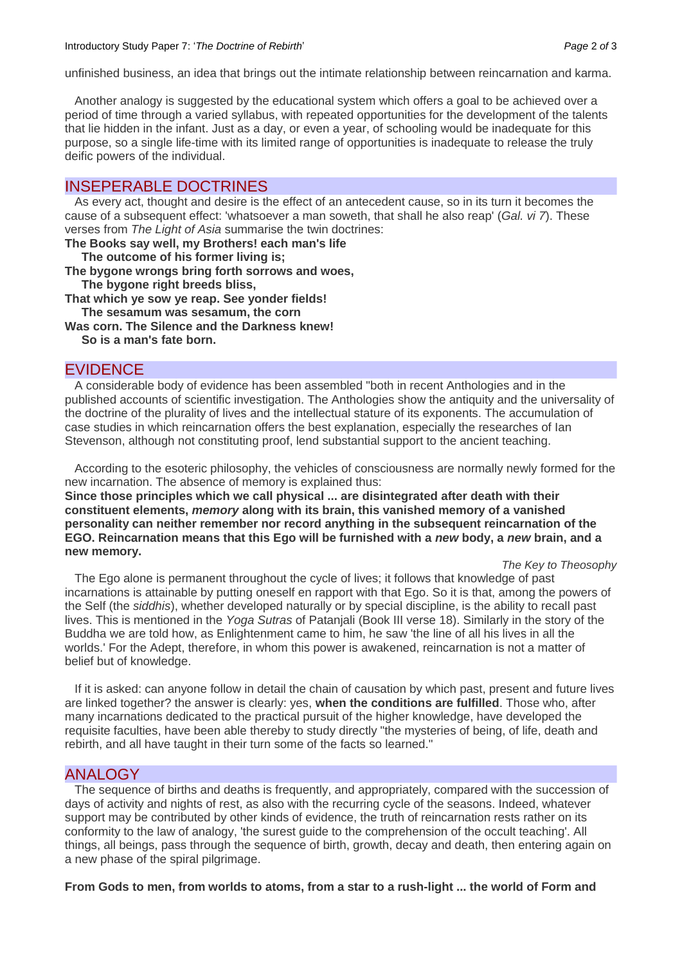unfinished business, an idea that brings out the intimate relationship between reincarnation and karma.

Another analogy is suggested by the educational system which offers a goal to be achieved over a period of time through a varied syllabus, with repeated opportunities for the development of the talents that lie hidden in the infant. Just as a day, or even a year, of schooling would be inadequate for this purpose, so a single life-time with its limited range of opportunities is inadequate to release the truly deific powers of the individual.

## INSEPERABLE DOCTRINES

As every act, thought and desire is the effect of an antecedent cause, so in its turn it becomes the cause of a subsequent effect: 'whatsoever a man soweth, that shall he also reap' (*Gal. vi 7*). These verses from *The Light of Asia* summarise the twin doctrines:

**The Books say well, my Brothers! each man's life**

 **The outcome of his former living is;**

**The bygone wrongs bring forth sorrows and woes,** 

 **The bygone right breeds bliss,** 

**That which ye sow ye reap. See yonder fields!**

 **The sesamum was sesamum, the corn** 

**Was corn. The Silence and the Darkness knew! So is a man's fate born.**

## EVIDENCE

A considerable body of evidence has been assembled "both in recent Anthologies and in the published accounts of scientific investigation. The Anthologies show the antiquity and the universality of the doctrine of the plurality of lives and the intellectual stature of its exponents. The accumulation of case studies in which reincarnation offers the best explanation, especially the researches of Ian Stevenson, although not constituting proof, lend substantial support to the ancient teaching.

According to the esoteric philosophy, the vehicles of consciousness are normally newly formed for the new incarnation. The absence of memory is explained thus:

**Since those principles which we call physical ... are disintegrated after death with their constituent elements,** *memory* **along with its brain, this vanished memory of a vanished personality can neither remember nor record anything in the subsequent reincarnation of the EGO. Reincarnation means that this Ego will be furnished with a** *new* **body, a** *new* **brain, and a new memory.** 

#### *The Key to Theosophy*

The Ego alone is permanent throughout the cycle of lives; it follows that knowledge of past incarnations is attainable by putting oneself en rapport with that Ego. So it is that, among the powers of the Self (the *siddhis*), whether developed naturally or by special discipline, is the ability to recall past lives. This is mentioned in the *Yoga Sutras* of Patanjali (Book III verse 18). Similarly in the story of the Buddha we are told how, as Enlightenment came to him, he saw 'the line of all his lives in all the worlds.' For the Adept, therefore, in whom this power is awakened, reincarnation is not a matter of belief but of knowledge.

If it is asked: can anyone follow in detail the chain of causation by which past, present and future lives are linked together? the answer is clearly: yes, **when the conditions are fulfilled**. Those who, after many incarnations dedicated to the practical pursuit of the higher knowledge, have developed the requisite faculties, have been able thereby to study directly "the mysteries of being, of life, death and rebirth, and all have taught in their turn some of the facts so learned."

#### ANALOGY

The sequence of births and deaths is frequently, and appropriately, compared with the succession of days of activity and nights of rest, as also with the recurring cycle of the seasons. Indeed, whatever support may be contributed by other kinds of evidence, the truth of reincarnation rests rather on its conformity to the law of analogy, 'the surest guide to the comprehension of the occult teaching'. All things, all beings, pass through the sequence of birth, growth, decay and death, then entering again on a new phase of the spiral pilgrimage.

**From Gods to men, from worlds to atoms, from a star to a rush-light ... the world of Form and**